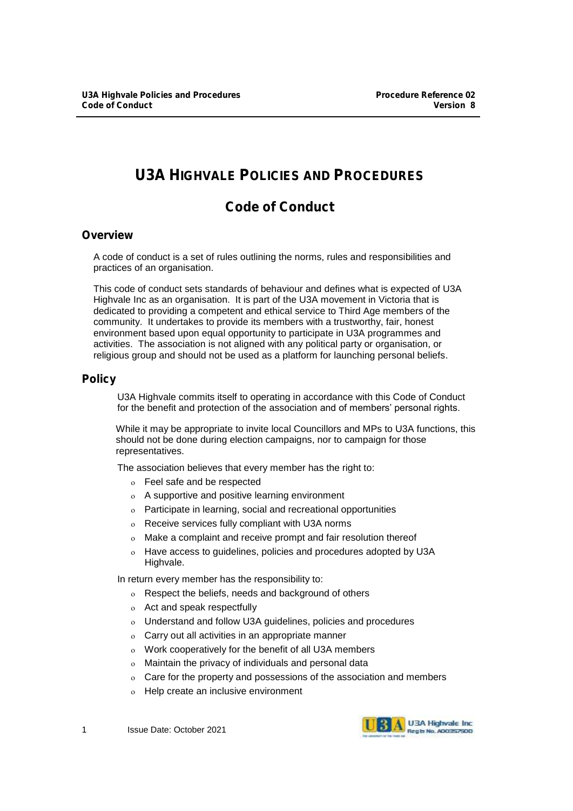# **U3A HIGHVALE POLICIES AND PROCEDURES**

# **Code of Conduct**

# **Overview**

A code of conduct is a set of rules outlining the norms, rules and responsibilities and practices of an organisation.

This code of conduct sets standards of behaviour and defines what is expected of U3A Highvale Inc as an organisation. It is part of the U3A movement in Victoria that is dedicated to providing a competent and ethical service to Third Age members of the community. It undertakes to provide its members with a trustworthy, fair, honest environment based upon equal opportunity to participate in U3A programmes and activities. The association is not aligned with any political party or organisation, or religious group and should not be used as a platform for launching personal beliefs.

# **Policy**

U3A Highvale commits itself to operating in accordance with this Code of Conduct for the benefit and protection of the association and of members' personal rights.

While it may be appropriate to invite local Councillors and MPs to U3A functions, this should not be done during election campaigns, nor to campaign for those representatives.

The association believes that every member has the right to:

- Feel safe and be respected
- A supportive and positive learning environment
- Participate in learning, social and recreational opportunities
- Receive services fully compliant with U3A norms
- Make a complaint and receive prompt and fair resolution thereof
- Have access to guidelines, policies and procedures adopted by U3A Highvale.

In return every member has the responsibility to:

- Respect the beliefs, needs and background of others
- Act and speak respectfully
- Understand and follow U3A guidelines, policies and procedures
- Carry out all activities in an appropriate manner
- Work cooperatively for the benefit of all U3A members
- Maintain the privacy of individuals and personal data
- Care for the property and possessions of the association and members
- Help create an inclusive environment